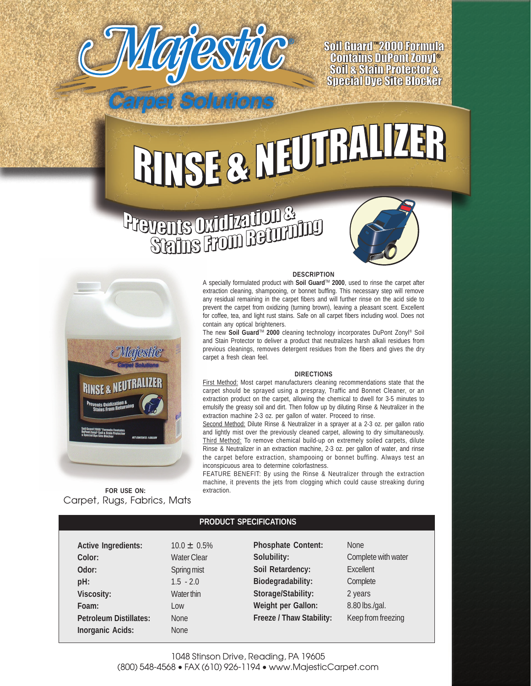

Soil Guard "2000 Formula **Contains DuPont Zonyl®**<br>Soil & Stain Protector & **Special Dye Site Blocker** 

## RIVSE & MEUTHALIZER

## **Prevents Oxidization &**

Solutions





Carpet, Rugs, Fabrics, Mats **FOR USE ON:**

## **DESCRIPTION**

A specially formulated product with **Soil Guard™ 2000**, used to rinse the carpet after extraction cleaning, shampooing, or bonnet buffing. This necessary step will remove any residual remaining in the carpet fibers and will further rinse on the acid side to prevent the carpet from oxidizing (turning brown), leaving a pleasant scent. Excellent for coffee, tea, and light rust stains. Safe on all carpet fibers including wool. Does not contain any optical brighteners.

The new **Soil Guard<sup>™</sup> 2000** cleaning technology incorporates DuPont Zonyl<sup>®</sup> Soil and Stain Protector to deliver a product that neutralizes harsh alkali residues from previous cleanings, removes detergent residues from the fibers and gives the dry carpet a fresh clean feel.

## **DIRECTIONS**

First Method: Most carpet manufacturers cleaning recommendations state that the carpet should be sprayed using a prespray, Traffic and Bonnet Cleaner, or an extraction product on the carpet, allowing the chemical to dwell for 3-5 minutes to emulsify the greasy soil and dirt. Then follow up by diluting Rinse & Neutralizer in the extraction machine 2-3 oz. per gallon of water. Proceed to rinse.

Second Method: Dilute Rinse & Neutralizer in a sprayer at a 2-3 oz. per gallon ratio and lightly mist over the previously cleaned carpet, allowing to dry simultaneously. Third Method: To remove chemical build-up on extremely soiled carpets, dilute Rinse & Neutralizer in an extraction machine, 2-3 oz. per gallon of water, and rinse the carpet before extraction, shampooing or bonnet buffing. Always test an inconspicuous area to determine colorfastness.

FEATURE BENEFIT: By using the Rinse & Neutralizer through the extraction machine, it prevents the jets from clogging which could cause streaking during extraction.

| <b>PRODUCT SPECIFICATIONS</b> |                    |                                 |                     |  |  |  |  |  |
|-------------------------------|--------------------|---------------------------------|---------------------|--|--|--|--|--|
| <b>Active Ingredients:</b>    | $10.0 \pm 0.5\%$   | <b>Phosphate Content:</b>       | <b>None</b>         |  |  |  |  |  |
| Color:                        | <b>Water Clear</b> | Solubility:                     | Complete with water |  |  |  |  |  |
| Odor:                         | Spring mist        | Soil Retardency:                | Excellent           |  |  |  |  |  |
| pH:                           | $1.5 - 2.0$        | <b>Biodegradability:</b>        | Complete            |  |  |  |  |  |
| <b>Viscosity:</b>             | Water thin         | Storage/Stability:              | 2 years             |  |  |  |  |  |
| Foam:                         | Low                | <b>Weight per Gallon:</b>       | 8.80 lbs./gal.      |  |  |  |  |  |
| <b>Petroleum Distillates:</b> | <b>None</b>        | <b>Freeze / Thaw Stability:</b> | Keep from freezing  |  |  |  |  |  |
| <b>Inorganic Acids:</b>       | <b>None</b>        |                                 |                     |  |  |  |  |  |